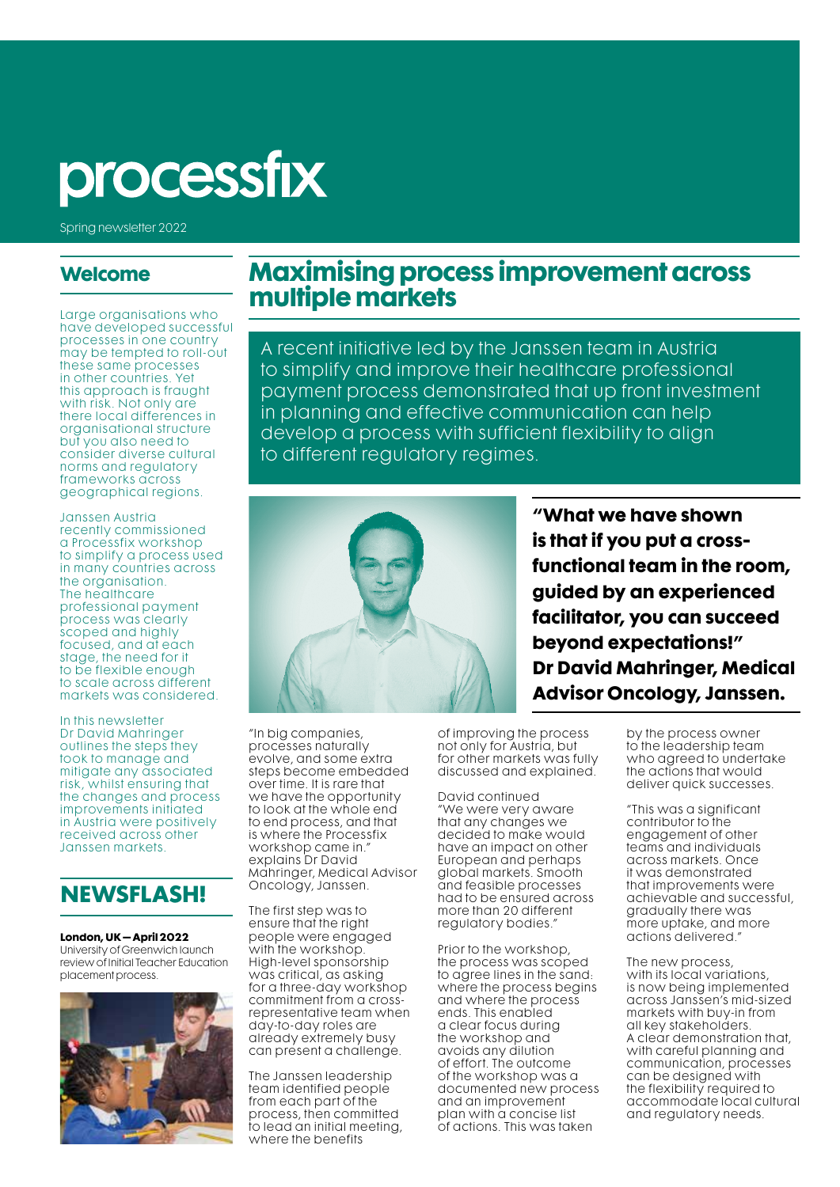# processfix

Spring newsletter 2022

#### **Welcome**

Large organisations who have developed successful processes in one country may be tempted to roll-out these same processes in other countries. Yet this approach is fraught with risk. Not only are there local differences in organisational structure but you also need to consider diverse cultural norms and regulatory frameworks across geographical regions.

#### Janssen Austria

recently commissioned a Processfix workshop to simplify a process used in many countries across the organisation. The healthcare professional payment process was clearly scoped and highly focused, and at each stage, the need for it to be flexible enough to scale across different markets was considered.

In this newsletter Dr David Mahringer outlines the steps they took to manage and mitigate any associated risk, whilst ensuring that the changes and process improvements initiated in Austria were positively received across other Janssen markets.

### **NEWSFLASH!**

**London, UK – April 2022** University of Greenwich launch

review of Initial Teacher Education placement process.



## **Maximising process improvement across multiple markets**

A recent initiative led by the Janssen team in Austria to simplify and improve their healthcare professional payment process demonstrated that up front investment in planning and effective communication can help develop a process with sufficient flexibility to align to different regulatory regimes.



"In big companies, processes naturally evolve, and some extra steps become embedded over time. It is rare that we have the opportunity to look at the whole end to end process, and that is where the Processfix workshop came in." explains Dr David Mahringer, Medical Advisor Oncology, Janssen.

The first step was to ensure that the right people were engaged with the workshop. High-level sponsorship was critical, as asking for a three-day workshop commitment from a crossrepresentative team when day-to-day roles are already extremely busy can present a challenge.

The Janssen leadership team identified people from each part of the process, then committed to lead an initial meeting, where the benefits

**"What we have shown is that if you put a crossfunctional team in the room, guided by an experienced facilitator, you can succeed beyond expectations!" Dr David Mahringer, Medical Advisor Oncology, Janssen.**

of improving the process not only for Austria, but for other markets was fully discussed and explained.

David continued "We were very aware that any changes we decided to make would have an impact on other European and perhaps global markets. Smooth and feasible processes had to be ensured across more than 20 different regulatory bodies.

Prior to the workshop, the process was scoped to agree lines in the sand: where the process begins and where the process ends. This enabled a clear focus during the workshop and avoids any dilution of effort. The outcome of the workshop was a documented new process and an improvement plan with a concise list of actions. This was taken

by the process owner to the leadership team who agreed to undertake the actions that would deliver quick successes.

"This was a significant contributor to the engagement of other teams and individuals across markets. Once it was demonstrated that improvements were achievable and successful, gradually there was more uptake, and more actions delivered."

The new process, with its local variations, is now being implemented across Janssen's mid-sized markets with buy-in from all key stakeholders. A clear demonstration that, with careful planning and communication, processes can be designed with the flexibility required to accommodate local cultural and regulatory needs.